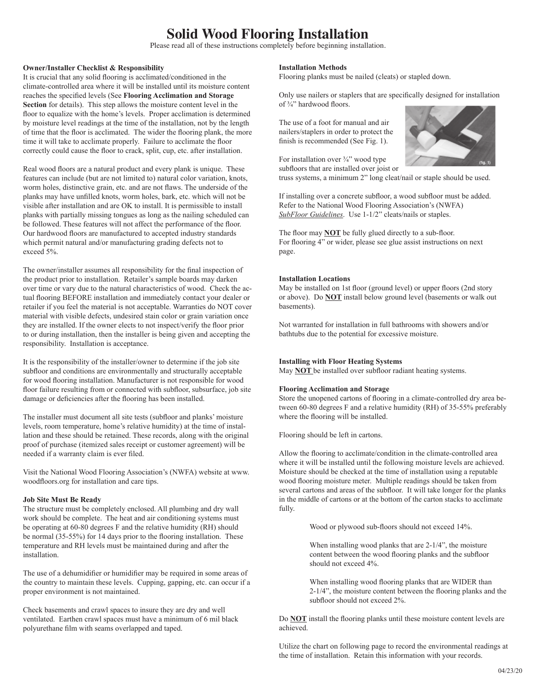# **Solid Wood Flooring Installation**

Please read all of these instructions completely before beginning installation.

## **Owner/Installer Checklist & Responsibility**

It is crucial that any solid flooring is acclimated/conditioned in the climate-controlled area where it will be installed until its moisture content reaches the specified levels (See **Flooring Acclimation and Storage Section** for details). This step allows the moisture content level in the floor to equalize with the home's levels. Proper acclimation is determined by moisture level readings at the time of the installation, not by the length of time that the floor is acclimated. The wider the flooring plank, the more time it will take to acclimate properly. Failure to acclimate the floor correctly could cause the floor to crack, split, cup, etc. after installation.

Real wood floors are a natural product and every plank is unique. These features can include (but are not limited to) natural color variation, knots, worm holes, distinctive grain, etc. and are not flaws. The underside of the planks may have unfilled knots, worm holes, bark, etc. which will not be visible after installation and are OK to install. It is permissible to install planks with partially missing tongues as long as the nailing scheduled can be followed. These features will not affect the performance of the floor. Our hardwood floors are manufactured to accepted industry standards which permit natural and/or manufacturing grading defects not to exceed 5%.

The owner/installer assumes all responsibility for the final inspection of the product prior to installation. Retailer's sample boards may darken over time or vary due to the natural characteristics of wood. Check the actual flooring BEFORE installation and immediately contact your dealer or retailer if you feel the material is not acceptable. Warranties do NOT cover material with visible defects, undesired stain color or grain variation once they are installed. If the owner elects to not inspect/verify the floor prior to or during installation, then the installer is being given and accepting the responsibility. Installation is acceptance.

It is the responsibility of the installer/owner to determine if the job site subfloor and conditions are environmentally and structurally acceptable for wood flooring installation. Manufacturer is not responsible for wood floor failure resulting from or connected with subfloor, subsurface, job site damage or deficiencies after the flooring has been installed.

The installer must document all site tests (subfloor and planks' moisture levels, room temperature, home's relative humidity) at the time of installation and these should be retained. These records, along with the original proof of purchase (itemized sales receipt or customer agreement) will be needed if a warranty claim is ever filed.

Visit the National Wood Flooring Association's (NWFA) website at www. woodfloors.org for installation and care tips.

#### **Job Site Must Be Ready**

The structure must be completely enclosed. All plumbing and dry wall work should be complete. The heat and air conditioning systems must be operating at 60-80 degrees F and the relative humidity (RH) should be normal (35-55%) for 14 days prior to the flooring installation. These temperature and RH levels must be maintained during and after the installation.

The use of a dehumidifier or humidifier may be required in some areas of the country to maintain these levels. Cupping, gapping, etc. can occur if a proper environment is not maintained.

Check basements and crawl spaces to insure they are dry and well ventilated. Earthen crawl spaces must have a minimum of 6 mil black polyurethane film with seams overlapped and taped.

## **Installation Methods**

Flooring planks must be nailed (cleats) or stapled down.

Only use nailers or staplers that are specifically designed for installation of  $\frac{3}{4}$ " hardwood floors.

The use of a foot for manual and air nailers/staplers in order to protect the finish is recommended (See Fig. 1).

For installation over <sup>3/4</sup>" wood type subfloors that are installed over joist or



truss systems, a minimum 2" long cleat/nail or staple should be used.

If installing over a concrete subfloor, a wood subfloor must be added. Refer to the National Wood Flooring Association's (NWFA) *SubFloor Guidelines*. Use 1-1/2" cleats/nails or staples.

The floor may **NOT** be fully glued directly to a sub-floor. For flooring 4" or wider, please see glue assist instructions on next page.

## **Installation Locations**

May be installed on 1st floor (ground level) or upper floors (2nd story or above). Do **NOT** install below ground level (basements or walk out basements).

Not warranted for installation in full bathrooms with showers and/or bathtubs due to the potential for excessive moisture.

## **Installing with Floor Heating Systems**

May **NOT** be installed over subfloor radiant heating systems.

## **Flooring Acclimation and Storage**

Store the unopened cartons of flooring in a climate-controlled dry area between 60-80 degrees F and a relative humidity (RH) of 35-55% preferably where the flooring will be installed.

Flooring should be left in cartons.

Allow the flooring to acclimate/condition in the climate-controlled area where it will be installed until the following moisture levels are achieved. Moisture should be checked at the time of installation using a reputable wood flooring moisture meter. Multiple readings should be taken from several cartons and areas of the subfloor. It will take longer for the planks in the middle of cartons or at the bottom of the carton stacks to acclimate fully.

Wood or plywood sub-floors should not exceed 14%.

When installing wood planks that are 2-1/4", the moisture content between the wood flooring planks and the subfloor should not exceed 4%.

When installing wood flooring planks that are WIDER than 2-1/4", the moisture content between the flooring planks and the subfloor should not exceed 2%.

Do **NOT** install the flooring planks until these moisture content levels are achieved.

Utilize the chart on following page to record the environmental readings at the time of installation. Retain this information with your records.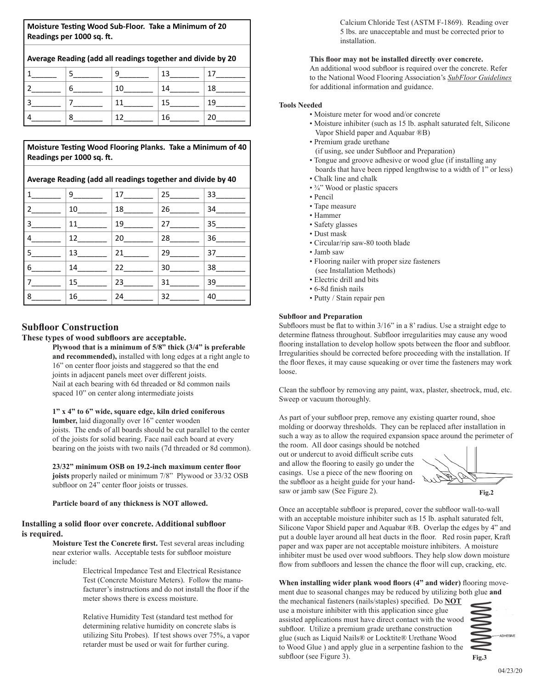**Moisture Testing Wood Sub-Floor. Take a Minimum of 20 Readings per 1000 sq. ft.** 

**Average Reading (add all readings together and divide by 20**

**Moisture Testing Wood Flooring Planks. Take a Minimum of 40 Readings per 1000 sq. ft.** 

**Average Reading (add all readings together and divide by 40**

| $\mathbf{1}$   | $9 \underline{\hspace{1cm}}$ | 17 — | 25 | 33 |
|----------------|------------------------------|------|----|----|
| $2^{\circ}$    | 10                           | 18   | 26 | 34 |
| $\cdot$ 3      | 11                           | 19   | 27 | 35 |
| 4              | 12                           | 20   | 28 | 36 |
| $^{\prime}$ 5  | 13                           | 21   | 29 | 37 |
| $6^{\circ}$    | 14                           | 22   | 30 | 38 |
| $\overline{7}$ | 15                           | 23   | 31 | 39 |
| 8              | 16                           | 24   | 32 | 40 |

## **Subfloor Construction**

**These types of wood subfloors are acceptable.** 

**Plywood that is a minimum of 5/8" thick (3/4" is preferable and recommended),** installed with long edges at a right angle to 16" on center floor joists and staggered so that the end joints in adjacent panels meet over different joists. Nail at each bearing with 6d threaded or 8d common nails spaced 10" on center along intermediate joists

## **1" x 4" to 6" wide, square edge, kiln dried coniferous**

**lumber,** laid diagonally over 16" center wooden joists. The ends of all boards should be cut parallel to the center of the joists for solid bearing. Face nail each board at every bearing on the joists with two nails (7d threaded or 8d common).

**23/32" minimum OSB on 19.2-inch maximum center floor joists** properly nailed or minimum 7/8" Plywood or 33/32 OSB subfloor on 24" center floor joists or trusses.

**Particle board of any thickness is NOT allowed.**

## **Installing a solid floor over concrete. Additional subfloor is required.**

**Moisture Test the Concrete first.** Test several areas including near exterior walls. Acceptable tests for subfloor moisture include:

> Electrical Impedance Test and Electrical Resistance Test (Concrete Moisture Meters). Follow the manufacturer's instructions and do not install the floor if the meter shows there is excess moisture.

> Relative Humidity Test (standard test method for determining relative humidity on concrete slabs is utilizing Situ Probes). If test shows over 75%, a vapor retarder must be used or wait for further curing.

Calcium Chloride Test (ASTM F-1869). Reading over 5 lbs. are unacceptable and must be corrected prior to installation.

#### **This floor may not be installed directly over concrete.**

An additional wood subfloor is required over the concrete. Refer to the National Wood Flooring Association's *SubFloor Guidelines* for additional information and guidance.

## **Tools Needed**

- Moisture meter for wood and/or concrete
- Moisture inhibiter (such as 15 lb. asphalt saturated felt, Silicone Vapor Shield paper and Aquabar ®B)
- Premium grade urethane
	- (if using, see under Subfloor and Preparation)
- Tongue and groove adhesive or wood glue (if installing any boards that have been ripped lengthwise to a width of 1" or less)
- Chalk line and chalk
- $\frac{3}{4}$ " Wood or plastic spacers
- Pencil
- Tape measure
- Hammer
- Safety glasses
- Dust mask
- Circular/rip saw-80 tooth blade
- Jamb saw
- Flooring nailer with proper size fasteners
- (see Installation Methods) • Electric drill and bits
- 6-8d finish nails
- Putty / Stain repair pen

## **Subfloor and Preparation**

Subfloors must be flat to within 3/16" in a 8' radius. Use a straight edge to determine flatness throughout. Subfloor irregularities may cause any wood **EXECUTION INCREDITED IN EXECUTIVE THE SUBFLOORING INTERFERIENCE AND THE FLOORING INCORPORTION** Irregularities should be corrected before proceeding with the installation. If the floor flexes, it may cause squeaking or over time the fasteners may work loose. with the instantion.  $\Pi$ asieliels inay work

Clean the subfloor by removing any paint, wax, plaster, sheetrock, mud, etc. Sweep or vacuum thoroughly.

As part of your subfloor prep, remove any existing quarter round, shoe molding or doorway thresholds. They can be replaced after installation in such a way as to allow the required expansion space around the perimeter of

the room. All door casings should be notched out or undercut to avoid difficult scribe cuts and allow the flooring to easily go under the casings. Use a piece of the new flooring on the subfloor as a height guide for your handsaw or jamb saw (See Figure 2).

**Fig.2**

Once an acceptable subfloor is prepared, cover the subfloor wall-to-wall with an acceptable moisture inhibiter such as 15 lb. asphalt saturated felt, Silicone Vapor Shield paper and Aquabar ®B. Overlap the edges by 4" and put a double layer around all heat ducts in the floor. Red rosin paper, Kraft paper and wax paper are not acceptable moisture inhibiters. A moisture paper and wax paper are not acceptable moisture inhibiters. inhibiter must be used over wood subfloors. They help slow down moisture flow from subfloors and lessen the chance the floor will cup, cracking, etc.

When installing wider plank wood floors (4" and wider) flooring movement due to seasonal changes may be reduced by utilizing both glue **and** 

the mechanical fasteners (nails/staples) specified. Do **NOT** use a moisture inhibiter with this application since glue assisted applications must have direct contact with the wood subfloor. Utilize a premium grade urethane construction glue (such as Liquid Nails® or Locktite® Urethane Wood to Wood Glue ) and apply glue in a serpentine fashion to the subfloor (see Figure 3).



• Once an acceptable subfloor is prepared, cover the subfloor wall-to-wall with an acceptable moisture inhibiter such as 15 lb. asphalt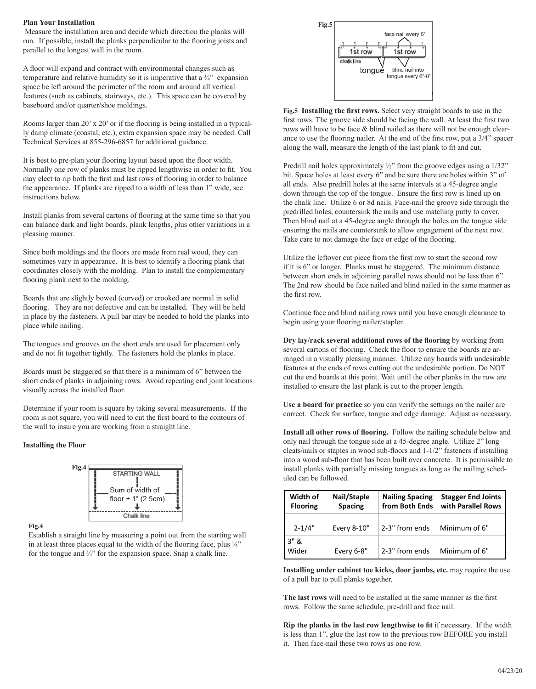#### **Plan Your Installation**

 Measure the installation area and decide which direction the planks will run. If possible, install the planks perpendicular to the flooring joists and parallel to the longest wall in the room.

A floor will expand and contract with environmental changes such as temperature and relative humidity so it is imperative that a  $\frac{3}{4}$  expansion space be left around the perimeter of the room and around all vertical features (such as cabinets, stairways, etc.). This space can be covered by baseboard and/or quarter/shoe moldings.

Rooms larger than 20' x 20' or if the flooring is being installed in a typically damp climate (coastal, etc.), extra expansion space may be needed. Call Technical Services at 855-296-6857 for additional guidance.

It is best to pre-plan your flooring layout based upon the floor width. Normally one row of planks must be ripped lengthwise in order to fit. You may elect to rip both the first and last rows of flooring in order to balance the appearance. If planks are ripped to a width of less than 1" wide, see instructions below.

Install planks from several cartons of flooring at the same time so that you can balance dark and light boards, plank lengths, plus other variations in a pleasing manner.

Since both moldings and the floors are made from real wood, they can sometimes vary in appearance. It is best to identify a flooring plank that coordinates closely with the molding. Plan to install the complementary flooring plank next to the molding.

Boards that are slightly bowed (curved) or crooked are normal in solid flooring. They are not defective and can be installed. They will be held in place by the fasteners. A pull bar may be needed to hold the planks into place while nailing.

The tongues and grooves on the short ends are used for placement only and do not fit together tightly. The fasteners hold the planks in place.

Boards must be staggered so that there is a minimum of 6" between the short ends of planks in adjoining rows. Avoid repeating end joint locations visually across the installed floor.

Determine if your room is square by taking several measurements. If the room is not square, you will need to cut the first board to the contours of the wall to insure you are working from a straight line.

#### **Installing the Floor**



**Fig.4**

Establish a straight line by measuring a point out from the starting wall in at least three places equal to the width of the flooring face, plus  $\frac{1}{4}$ " for the tongue and  $\frac{3}{4}$ " for the expansion space. Snap a chalk line.



**Fig.5 Installing the first rows.** Select very straight boards to use in the first rows. The groove side should be facing the wall. At least the first two rows will have to be face & blind nailed as there will not be enough clearance to use the flooring nailer. At the end of the first row, put a 3/4" spacer along the wall, measure the length of the last plank to fit and cut.

Predrill nail holes approximately  $\frac{1}{2}$ " from the groove edges using a 1/32" bit. Space holes at least every 6" and be sure there are holes within 3" of all ends. Also predrill holes at the same intervals at a 45-degree angle down through the top of the tongue. Ensure the first row is lined up on the chalk line. Utilize 6 or 8d nails. Face-nail the groove side through the predrilled holes, countersink the nails and use matching putty to cover. Then blind nail at a 45-degree angle through the holes on the tongue side ensuring the nails are countersunk to allow engagement of the next row. Take care to not damage the face or edge of the flooring.

Utilize the leftover cut piece from the first row to start the second row if it is 6" or longer. Planks must be staggered. The minimum distance between short ends in adjoining parallel rows should not be less than 6". The 2nd row should be face nailed and blind nailed in the same manner as the first row.

Continue face and blind nailing rows until you have enough clearance to begin using your flooring nailer/stapler.

**Dry lay/rack several additional rows of the flooring** by working from several cartons of flooring. Check the floor to ensure the boards are arranged in a visually pleasing manner. Utilize any boards with undesirable features at the ends of rows cutting out the undesirable portion. Do NOT cut the end boards at this point. Wait until the other planks in the row are installed to ensure the last plank is cut to the proper length.

**Use a board for practice** so you can verify the settings on the nailer are correct. Check for surface, tongue and edge damage. Adjust as necessary.

Install all other rows of flooring. Follow the nailing schedule below and only nail through the tongue side at a 45-degree angle. Utilize 2" long cleats/nails or staples in wood sub-floors and  $1-1/2$ " fasteners if installing into a wood sub-floor that has been built over concrete. It is permissible to install planks with partially missing tongues as long as the nailing schedpermission to install planks with parameters with parameters with parameters as the nail of  $\alpha$  scheduled can be followed.

| Width of<br><b>Flooring</b> | Nail/Staple<br><b>Spacing</b> | <b>Nailing Spacing</b><br>from Both Ends | <b>Stagger End Joints</b><br>with Parallel Rows |
|-----------------------------|-------------------------------|------------------------------------------|-------------------------------------------------|
| $2 - 1/4"$                  | Every 8-10"                   | 2-3" from ends                           | Minimum of 6"                                   |
| 3"8<br>Wider                | Every 6-8"                    | 2-3" from ends                           | Minimum of 6"                                   |

**Installing under cabinet toe kicks, door jambs, etc.** may require the use of a pull bar to pull planks together.

The last rows will need to be installed in the same manner as the first rows. Follow the same schedule, pre-drill and face nail.

Rip the planks in the last row lengthwise to fit if necessary. If the width is less than 1", glue the last row to the previous row BEFORE you install it. Then face-nail these two rows as one row.